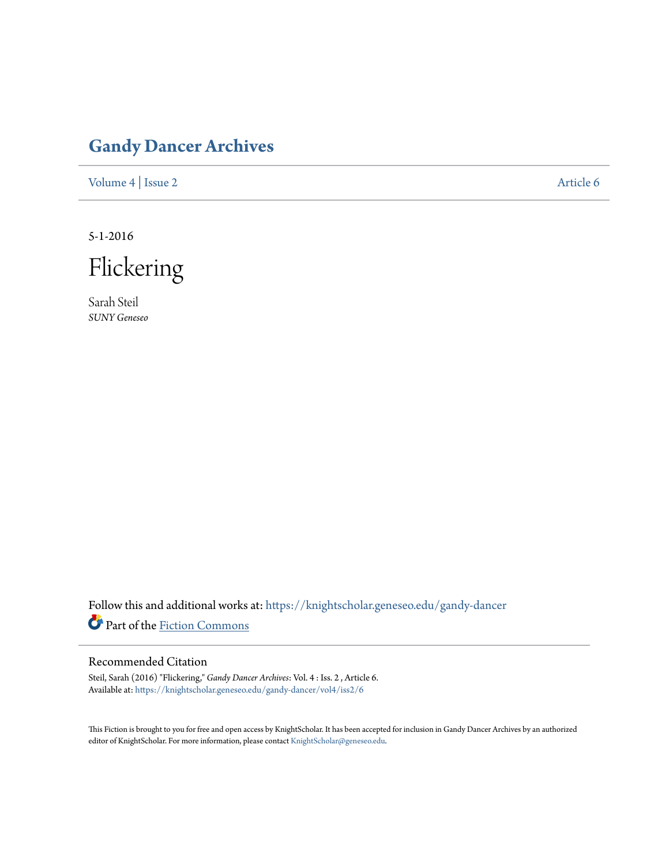## **[Gandy Dancer Archives](https://knightscholar.geneseo.edu/gandy-dancer?utm_source=knightscholar.geneseo.edu%2Fgandy-dancer%2Fvol4%2Fiss2%2F6&utm_medium=PDF&utm_campaign=PDFCoverPages)**

[Volume 4](https://knightscholar.geneseo.edu/gandy-dancer/vol4?utm_source=knightscholar.geneseo.edu%2Fgandy-dancer%2Fvol4%2Fiss2%2F6&utm_medium=PDF&utm_campaign=PDFCoverPages) | [Issue 2](https://knightscholar.geneseo.edu/gandy-dancer/vol4/iss2?utm_source=knightscholar.geneseo.edu%2Fgandy-dancer%2Fvol4%2Fiss2%2F6&utm_medium=PDF&utm_campaign=PDFCoverPages) [Article 6](https://knightscholar.geneseo.edu/gandy-dancer/vol4/iss2/6?utm_source=knightscholar.geneseo.edu%2Fgandy-dancer%2Fvol4%2Fiss2%2F6&utm_medium=PDF&utm_campaign=PDFCoverPages)

5-1-2016



Sarah Steil *SUNY Geneseo*

Follow this and additional works at: [https://knightscholar.geneseo.edu/gandy-dancer](https://knightscholar.geneseo.edu/gandy-dancer?utm_source=knightscholar.geneseo.edu%2Fgandy-dancer%2Fvol4%2Fiss2%2F6&utm_medium=PDF&utm_campaign=PDFCoverPages) Part of the [Fiction Commons](http://network.bepress.com/hgg/discipline/1151?utm_source=knightscholar.geneseo.edu%2Fgandy-dancer%2Fvol4%2Fiss2%2F6&utm_medium=PDF&utm_campaign=PDFCoverPages)

## Recommended Citation

Steil, Sarah (2016) "Flickering," *Gandy Dancer Archives*: Vol. 4 : Iss. 2 , Article 6. Available at: [https://knightscholar.geneseo.edu/gandy-dancer/vol4/iss2/6](https://knightscholar.geneseo.edu/gandy-dancer/vol4/iss2/6?utm_source=knightscholar.geneseo.edu%2Fgandy-dancer%2Fvol4%2Fiss2%2F6&utm_medium=PDF&utm_campaign=PDFCoverPages)

This Fiction is brought to you for free and open access by KnightScholar. It has been accepted for inclusion in Gandy Dancer Archives by an authorized editor of KnightScholar. For more information, please contact [KnightScholar@geneseo.edu.](mailto:KnightScholar@geneseo.edu)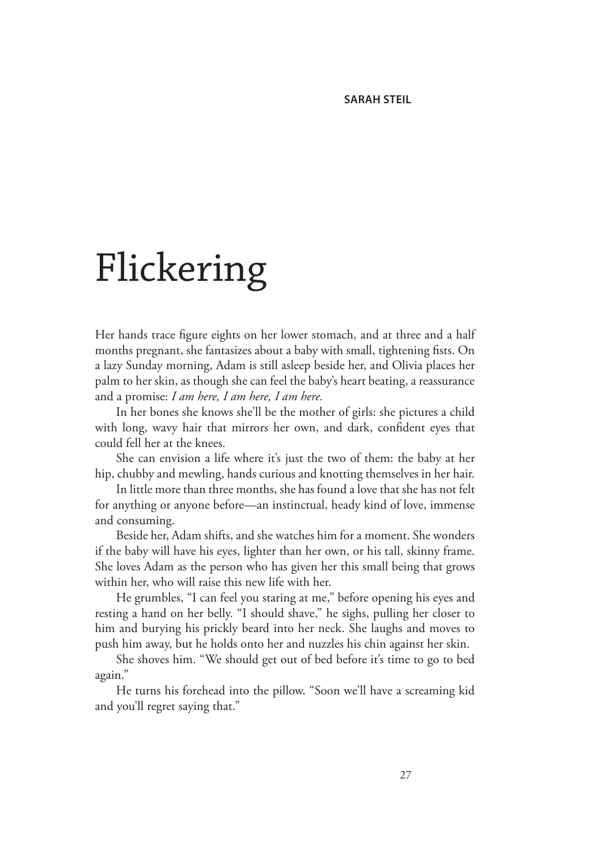## Flickering

Her hands trace figure eights on her lower stomach, and at three and a half months pregnant, she fantasizes about a baby with small, tightening fists. On a lazy Sunday morning, Adam is still asleep beside her, and Olivia places her palm to her skin, as though she can feel the baby's heart beating, a reassurance and a promise: *I am here, I am here, I am here.* 

In her bones she knows she'll be the mother of girls: she pictures a child with long, wavy hair that mirrors her own, and dark, confident eyes that could fell her at the knees.

She can envision a life where it's just the two of them: the baby at her hip, chubby and mewling, hands curious and knotting themselves in her hair.

In little more than three months, she has found a love that she has not felt for anything or anyone before—an instinctual, heady kind of love, immense and consuming.

Beside her, Adam shifts, and she watches him for a moment. She wonders if the baby will have his eyes, lighter than her own, or his tall, skinny frame. She loves Adam as the person who has given her this small being that grows within her, who will raise this new life with her.

He grumbles, "I can feel you staring at me," before opening his eyes and resting a hand on her belly. "I should shave," he sighs, pulling her closer to him and burying his prickly beard into her neck. She laughs and moves to push him away, but he holds onto her and nuzzles his chin against her skin.

She shoves him. "We should get out of bed before it's time to go to bed again."

He turns his forehead into the pillow. "Soon we'll have a screaming kid and you'll regret saying that."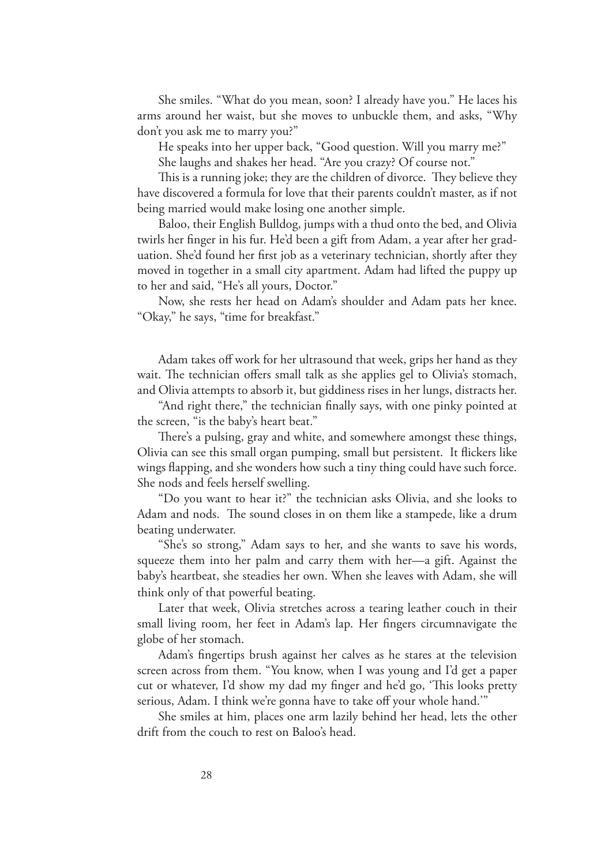She smiles. "What do you mean, soon? I already have you." He laces his arms around her waist, but she moves to unbuckle them, and asks, "Why don't you ask me to marry you?"

He speaks into her upper back, "Good question. Will you marry me?"

She laughs and shakes her head. "Are you crazy? Of course not."

This is a running joke; they are the children of divorce. They believe they have discovered a formula for love that their parents couldn't master, as if not being married would make losing one another simple.

Baloo, their English Bulldog, jumps with a thud onto the bed, and Olivia twirls her finger in his fur. He'd been a gift from Adam, a year after her graduation. She'd found her first job as a veterinary technician, shortly after they moved in together in a small city apartment. Adam had lifted the puppy up to her and said, "He's all yours, Doctor."

Now, she rests her head on Adam's shoulder and Adam pats her knee. "Okay," he says, "time for breakfast."

Adam takes off work for her ultrasound that week, grips her hand as they wait. The technician offers small talk as she applies gel to Olivia's stomach, and Olivia attempts to absorb it, but giddiness rises in her lungs, distracts her.

"And right there," the technician finally says, with one pinky pointed at the screen, "is the baby's heart beat."

There's a pulsing, gray and white, and somewhere amongst these things, Olivia can see this small organ pumping, small but persistent. It flickers like wings flapping, and she wonders how such a tiny thing could have such force. She nods and feels herself swelling.

"Do you want to hear it?" the technician asks Olivia, and she looks to Adam and nods. The sound closes in on them like a stampede, like a drum beating underwater.

"She's so strong," Adam says to her, and she wants to save his words, squeeze them into her palm and carry them with her—a gift. Against the baby's heartbeat, she steadies her own. When she leaves with Adam, she will think only of that powerful beating.

Later that week, Olivia stretches across a tearing leather couch in their small living room, her feet in Adam's lap. Her fingers circumnavigate the globe of her stomach.

Adam's fingertips brush against her calves as he stares at the television screen across from them. "You know, when I was young and I'd get a paper cut or whatever, I'd show my dad my finger and he'd go, 'This looks pretty serious, Adam. I think we're gonna have to take off your whole hand.'"

She smiles at him, places one arm lazily behind her head, lets the other drift from the couch to rest on Baloo's head.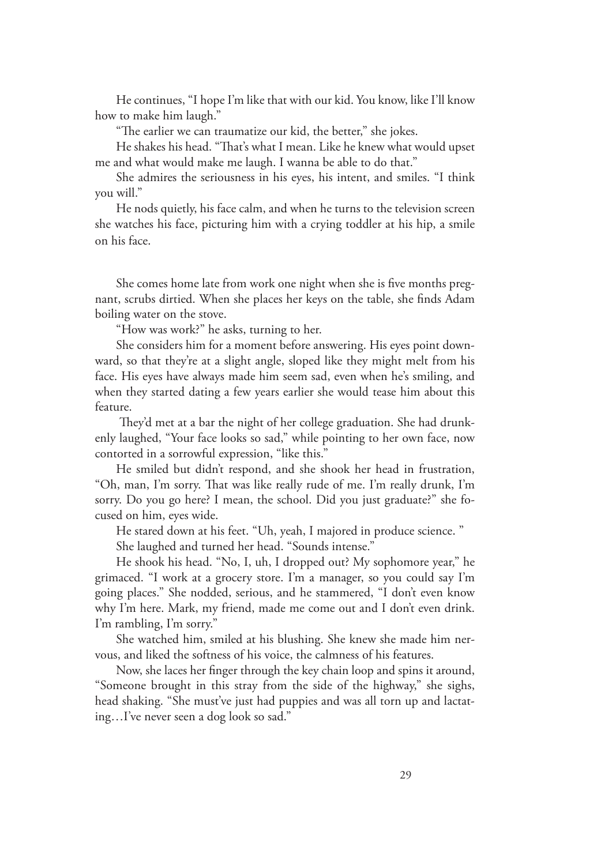He continues, "I hope I'm like that with our kid. You know, like I'll know how to make him laugh."

"The earlier we can traumatize our kid, the better," she jokes.

He shakes his head. "That's what I mean. Like he knew what would upset me and what would make me laugh. I wanna be able to do that."

She admires the seriousness in his eyes, his intent, and smiles. "I think you will."

He nods quietly, his face calm, and when he turns to the television screen she watches his face, picturing him with a crying toddler at his hip, a smile on his face.

She comes home late from work one night when she is five months pregnant, scrubs dirtied. When she places her keys on the table, she finds Adam boiling water on the stove.

"How was work?" he asks, turning to her.

She considers him for a moment before answering. His eyes point downward, so that they're at a slight angle, sloped like they might melt from his face. His eyes have always made him seem sad, even when he's smiling, and when they started dating a few years earlier she would tease him about this feature.

 They'd met at a bar the night of her college graduation. She had drunkenly laughed, "Your face looks so sad," while pointing to her own face, now contorted in a sorrowful expression, "like this."

He smiled but didn't respond, and she shook her head in frustration, "Oh, man, I'm sorry. That was like really rude of me. I'm really drunk, I'm sorry. Do you go here? I mean, the school. Did you just graduate?" she focused on him, eyes wide.

He stared down at his feet. "Uh, yeah, I majored in produce science. "

She laughed and turned her head. "Sounds intense."

He shook his head. "No, I, uh, I dropped out? My sophomore year," he grimaced. "I work at a grocery store. I'm a manager, so you could say I'm going places." She nodded, serious, and he stammered, "I don't even know why I'm here. Mark, my friend, made me come out and I don't even drink. I'm rambling, I'm sorry."

She watched him, smiled at his blushing. She knew she made him nervous, and liked the softness of his voice, the calmness of his features.

Now, she laces her finger through the key chain loop and spins it around, "Someone brought in this stray from the side of the highway," she sighs, head shaking. "She must've just had puppies and was all torn up and lactating…I've never seen a dog look so sad."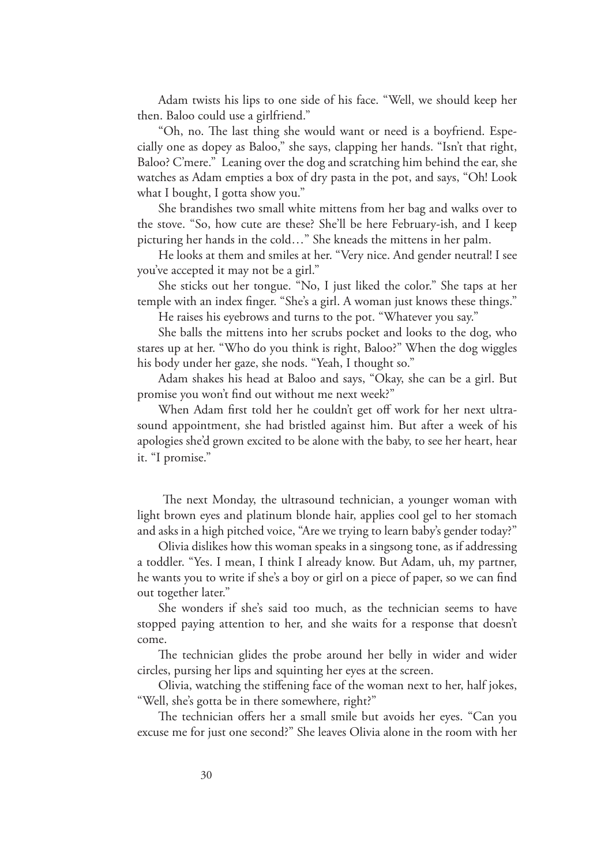Adam twists his lips to one side of his face. "Well, we should keep her then. Baloo could use a girlfriend."

"Oh, no. The last thing she would want or need is a boyfriend. Especially one as dopey as Baloo," she says, clapping her hands. "Isn't that right, Baloo? C'mere." Leaning over the dog and scratching him behind the ear, she watches as Adam empties a box of dry pasta in the pot, and says, "Oh! Look what I bought, I gotta show you."

She brandishes two small white mittens from her bag and walks over to the stove. "So, how cute are these? She'll be here February-ish, and I keep picturing her hands in the cold…" She kneads the mittens in her palm.

He looks at them and smiles at her. "Very nice. And gender neutral! I see you've accepted it may not be a girl."

She sticks out her tongue. "No, I just liked the color." She taps at her temple with an index finger. "She's a girl. A woman just knows these things."

He raises his eyebrows and turns to the pot. "Whatever you say."

She balls the mittens into her scrubs pocket and looks to the dog, who stares up at her. "Who do you think is right, Baloo?" When the dog wiggles his body under her gaze, she nods. "Yeah, I thought so."

Adam shakes his head at Baloo and says, "Okay, she can be a girl. But promise you won't find out without me next week?"

When Adam first told her he couldn't get off work for her next ultrasound appointment, she had bristled against him. But after a week of his apologies she'd grown excited to be alone with the baby, to see her heart, hear it. "I promise."

 The next Monday, the ultrasound technician, a younger woman with light brown eyes and platinum blonde hair, applies cool gel to her stomach and asks in a high pitched voice, "Are we trying to learn baby's gender today?"

Olivia dislikes how this woman speaks in a singsong tone, as if addressing a toddler. "Yes. I mean, I think I already know. But Adam, uh, my partner, he wants you to write if she's a boy or girl on a piece of paper, so we can find out together later."

She wonders if she's said too much, as the technician seems to have stopped paying attention to her, and she waits for a response that doesn't come.

The technician glides the probe around her belly in wider and wider circles, pursing her lips and squinting her eyes at the screen.

Olivia, watching the stiffening face of the woman next to her, half jokes, "Well, she's gotta be in there somewhere, right?"

The technician offers her a small smile but avoids her eyes. "Can you excuse me for just one second?" She leaves Olivia alone in the room with her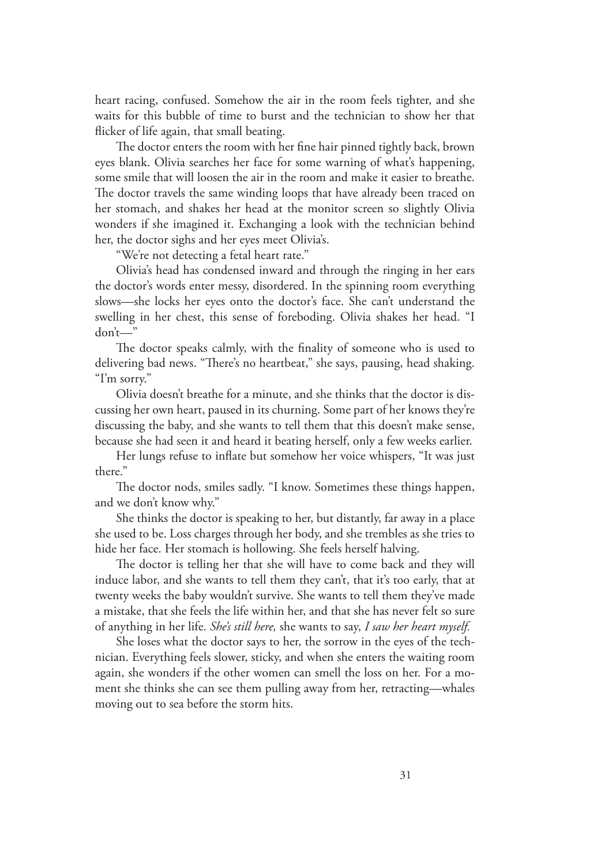heart racing, confused. Somehow the air in the room feels tighter, and she waits for this bubble of time to burst and the technician to show her that flicker of life again, that small beating.

The doctor enters the room with her fine hair pinned tightly back, brown eyes blank. Olivia searches her face for some warning of what's happening, some smile that will loosen the air in the room and make it easier to breathe. The doctor travels the same winding loops that have already been traced on her stomach, and shakes her head at the monitor screen so slightly Olivia wonders if she imagined it. Exchanging a look with the technician behind her, the doctor sighs and her eyes meet Olivia's.

"We're not detecting a fetal heart rate."

Olivia's head has condensed inward and through the ringing in her ears the doctor's words enter messy, disordered. In the spinning room everything slows—she locks her eyes onto the doctor's face. She can't understand the swelling in her chest, this sense of foreboding. Olivia shakes her head. "I don't—"

The doctor speaks calmly, with the finality of someone who is used to delivering bad news. "There's no heartbeat," she says, pausing, head shaking. "I'm sorry."

Olivia doesn't breathe for a minute, and she thinks that the doctor is discussing her own heart, paused in its churning. Some part of her knows they're discussing the baby, and she wants to tell them that this doesn't make sense, because she had seen it and heard it beating herself, only a few weeks earlier.

Her lungs refuse to inflate but somehow her voice whispers, "It was just there."

The doctor nods, smiles sadly. "I know. Sometimes these things happen, and we don't know why."

She thinks the doctor is speaking to her, but distantly, far away in a place she used to be. Loss charges through her body, and she trembles as she tries to hide her face. Her stomach is hollowing. She feels herself halving.

The doctor is telling her that she will have to come back and they will induce labor, and she wants to tell them they can't, that it's too early, that at twenty weeks the baby wouldn't survive. She wants to tell them they've made a mistake, that she feels the life within her, and that she has never felt so sure of anything in her life. *She's still here,* she wants to say, *I saw her heart myself.* 

She loses what the doctor says to her, the sorrow in the eyes of the technician. Everything feels slower, sticky, and when she enters the waiting room again, she wonders if the other women can smell the loss on her. For a moment she thinks she can see them pulling away from her, retracting—whales moving out to sea before the storm hits.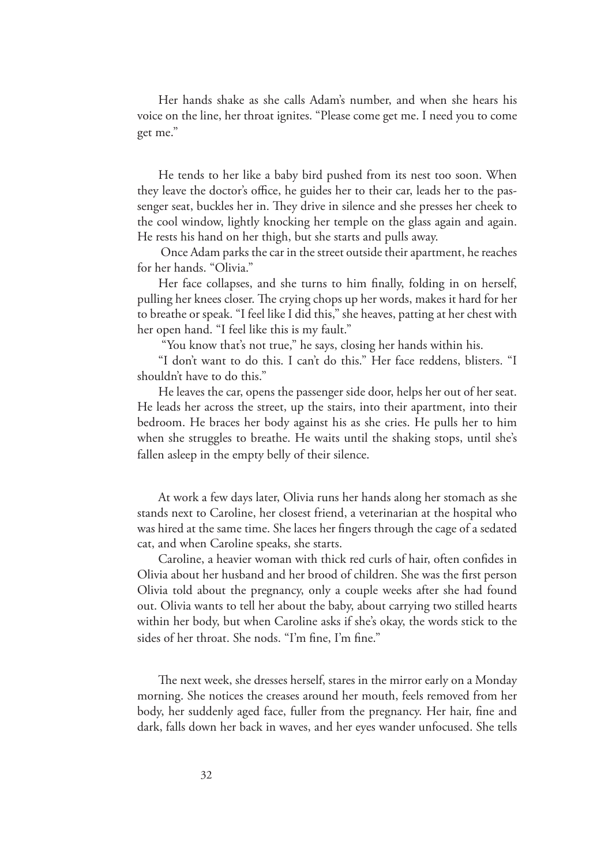Her hands shake as she calls Adam's number, and when she hears his voice on the line, her throat ignites. "Please come get me. I need you to come get me."

He tends to her like a baby bird pushed from its nest too soon. When they leave the doctor's office, he guides her to their car, leads her to the passenger seat, buckles her in. They drive in silence and she presses her cheek to the cool window, lightly knocking her temple on the glass again and again. He rests his hand on her thigh, but she starts and pulls away.

 Once Adam parks the car in the street outside their apartment, he reaches for her hands. "Olivia."

Her face collapses, and she turns to him finally, folding in on herself, pulling her knees closer. The crying chops up her words, makes it hard for her to breathe or speak. "I feel like I did this," she heaves, patting at her chest with her open hand. "I feel like this is my fault."

"You know that's not true," he says, closing her hands within his.

"I don't want to do this. I can't do this." Her face reddens, blisters. "I shouldn't have to do this."

He leaves the car, opens the passenger side door, helps her out of her seat. He leads her across the street, up the stairs, into their apartment, into their bedroom. He braces her body against his as she cries. He pulls her to him when she struggles to breathe. He waits until the shaking stops, until she's fallen asleep in the empty belly of their silence.

At work a few days later, Olivia runs her hands along her stomach as she stands next to Caroline, her closest friend, a veterinarian at the hospital who was hired at the same time. She laces her fingers through the cage of a sedated cat, and when Caroline speaks, she starts.

Caroline, a heavier woman with thick red curls of hair, often confides in Olivia about her husband and her brood of children. She was the first person Olivia told about the pregnancy, only a couple weeks after she had found out. Olivia wants to tell her about the baby, about carrying two stilled hearts within her body, but when Caroline asks if she's okay, the words stick to the sides of her throat. She nods. "I'm fine, I'm fine."

The next week, she dresses herself, stares in the mirror early on a Monday morning. She notices the creases around her mouth, feels removed from her body, her suddenly aged face, fuller from the pregnancy. Her hair, fine and dark, falls down her back in waves, and her eyes wander unfocused. She tells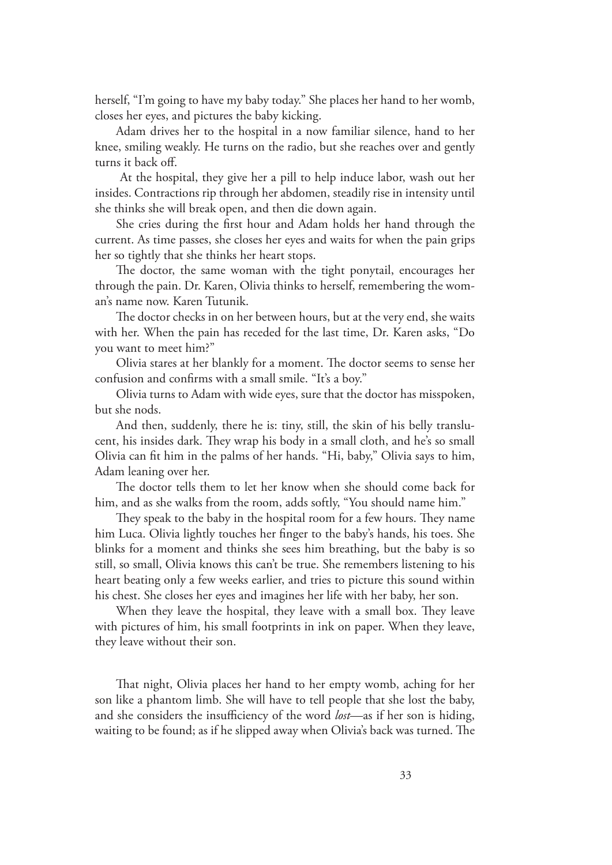herself, "I'm going to have my baby today." She places her hand to her womb, closes her eyes, and pictures the baby kicking.

Adam drives her to the hospital in a now familiar silence, hand to her knee, smiling weakly. He turns on the radio, but she reaches over and gently turns it back off.

 At the hospital, they give her a pill to help induce labor, wash out her insides. Contractions rip through her abdomen, steadily rise in intensity until she thinks she will break open, and then die down again.

She cries during the first hour and Adam holds her hand through the current. As time passes, she closes her eyes and waits for when the pain grips her so tightly that she thinks her heart stops.

The doctor, the same woman with the tight ponytail, encourages her through the pain. Dr. Karen, Olivia thinks to herself, remembering the woman's name now. Karen Tutunik.

The doctor checks in on her between hours, but at the very end, she waits with her. When the pain has receded for the last time, Dr. Karen asks, "Do you want to meet him?"

Olivia stares at her blankly for a moment. The doctor seems to sense her confusion and confirms with a small smile. "It's a boy."

Olivia turns to Adam with wide eyes, sure that the doctor has misspoken, but she nods.

And then, suddenly, there he is: tiny, still, the skin of his belly translucent, his insides dark. They wrap his body in a small cloth, and he's so small Olivia can fit him in the palms of her hands. "Hi, baby," Olivia says to him, Adam leaning over her.

The doctor tells them to let her know when she should come back for him, and as she walks from the room, adds softly, "You should name him."

They speak to the baby in the hospital room for a few hours. They name him Luca. Olivia lightly touches her finger to the baby's hands, his toes. She blinks for a moment and thinks she sees him breathing, but the baby is so still, so small, Olivia knows this can't be true. She remembers listening to his heart beating only a few weeks earlier, and tries to picture this sound within his chest. She closes her eyes and imagines her life with her baby, her son.

When they leave the hospital, they leave with a small box. They leave with pictures of him, his small footprints in ink on paper. When they leave, they leave without their son.

That night, Olivia places her hand to her empty womb, aching for her son like a phantom limb. She will have to tell people that she lost the baby, and she considers the insufficiency of the word *lost*—as if her son is hiding, waiting to be found; as if he slipped away when Olivia's back was turned. The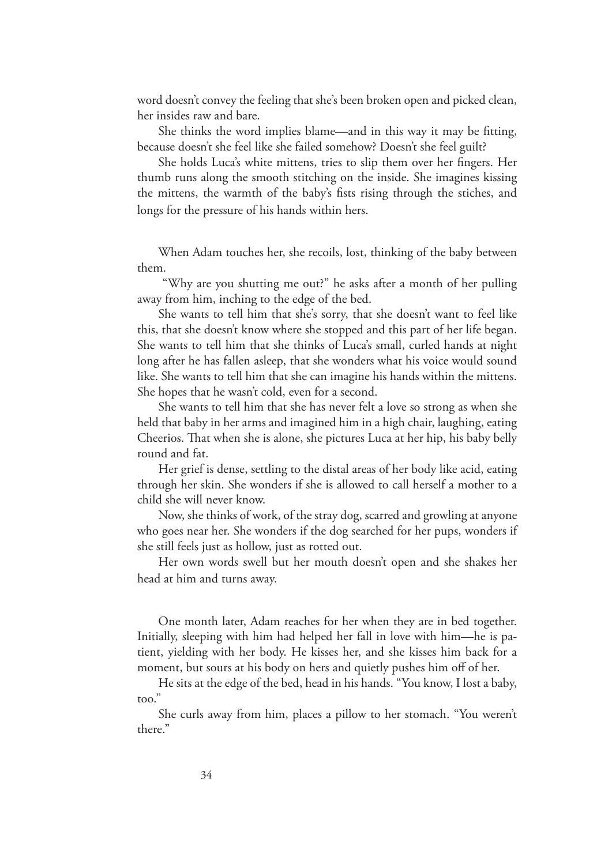word doesn't convey the feeling that she's been broken open and picked clean, her insides raw and bare.

She thinks the word implies blame—and in this way it may be fitting, because doesn't she feel like she failed somehow? Doesn't she feel guilt?

She holds Luca's white mittens, tries to slip them over her fingers. Her thumb runs along the smooth stitching on the inside. She imagines kissing the mittens, the warmth of the baby's fists rising through the stiches, and longs for the pressure of his hands within hers.

When Adam touches her, she recoils, lost, thinking of the baby between them.

 "Why are you shutting me out?" he asks after a month of her pulling away from him, inching to the edge of the bed.

She wants to tell him that she's sorry, that she doesn't want to feel like this, that she doesn't know where she stopped and this part of her life began. She wants to tell him that she thinks of Luca's small, curled hands at night long after he has fallen asleep, that she wonders what his voice would sound like. She wants to tell him that she can imagine his hands within the mittens. She hopes that he wasn't cold, even for a second.

She wants to tell him that she has never felt a love so strong as when she held that baby in her arms and imagined him in a high chair, laughing, eating Cheerios. That when she is alone, she pictures Luca at her hip, his baby belly round and fat.

Her grief is dense, settling to the distal areas of her body like acid, eating through her skin. She wonders if she is allowed to call herself a mother to a child she will never know.

Now, she thinks of work, of the stray dog, scarred and growling at anyone who goes near her. She wonders if the dog searched for her pups, wonders if she still feels just as hollow, just as rotted out.

Her own words swell but her mouth doesn't open and she shakes her head at him and turns away.

One month later, Adam reaches for her when they are in bed together. Initially, sleeping with him had helped her fall in love with him—he is patient, yielding with her body. He kisses her, and she kisses him back for a moment, but sours at his body on hers and quietly pushes him off of her.

He sits at the edge of the bed, head in his hands. "You know, I lost a baby, too."

She curls away from him, places a pillow to her stomach. "You weren't there."